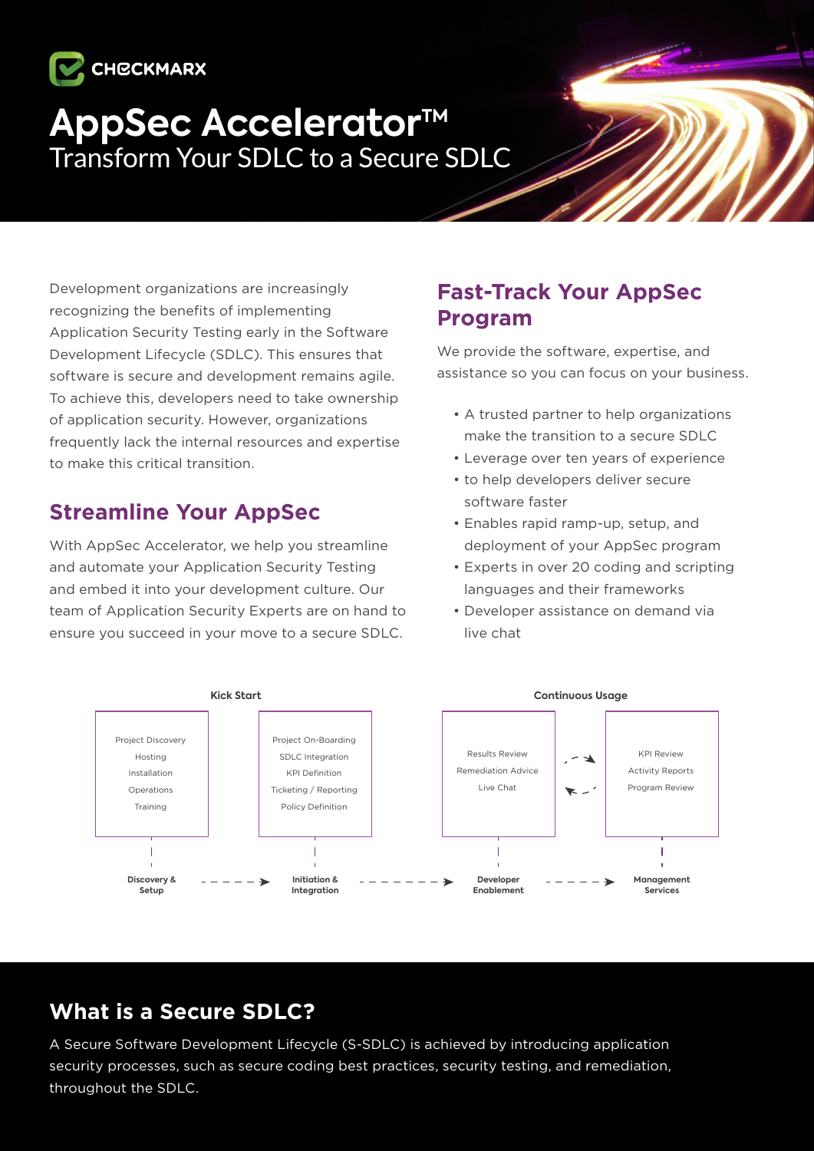

# **AppSec Accelerator™**<br>Transform Your SDLC to a Secure SDLC

Development organizations are increasingly recognizing the benefits of implementing Application Security Testing early in the Software Development Lifecycle (SDLC). This ensures that software is secure and development remains agile. To achieve this, developers need to take ownership of application security. However, organizations frequently lack the internal resources and expertise to make this critical transition.

## **Streamline Your AppSec**

With AppSec Accelerator, we help you streamline and automate your Application Security Testing and embed it into your development culture. Our team of Application Security Experts are on hand to ensure you succeed in your move to a secure SDLC.

### **Fast-Track Your AppSec Program**

We provide the software, expertise, and assistance so you can focus on your business.

- A trusted partner to help organizations make the transition to a secure SDLC
- Leverage over ten vears of experience
- to help developers deliver secure software faster
- Enables rapid ramp-up, setup, and deployment of your AppSec program
- Experts in over 20 coding and scripting languages and their frameworks
- Developer assistance on demand via live chat



## **What is a Secure SDLC?**

A Secure Software Development Lifecycle (S-SDLC) is achieved by introducing application security processes, such as secure coding best practices, security testing, and remediation, throughout the SDLC.